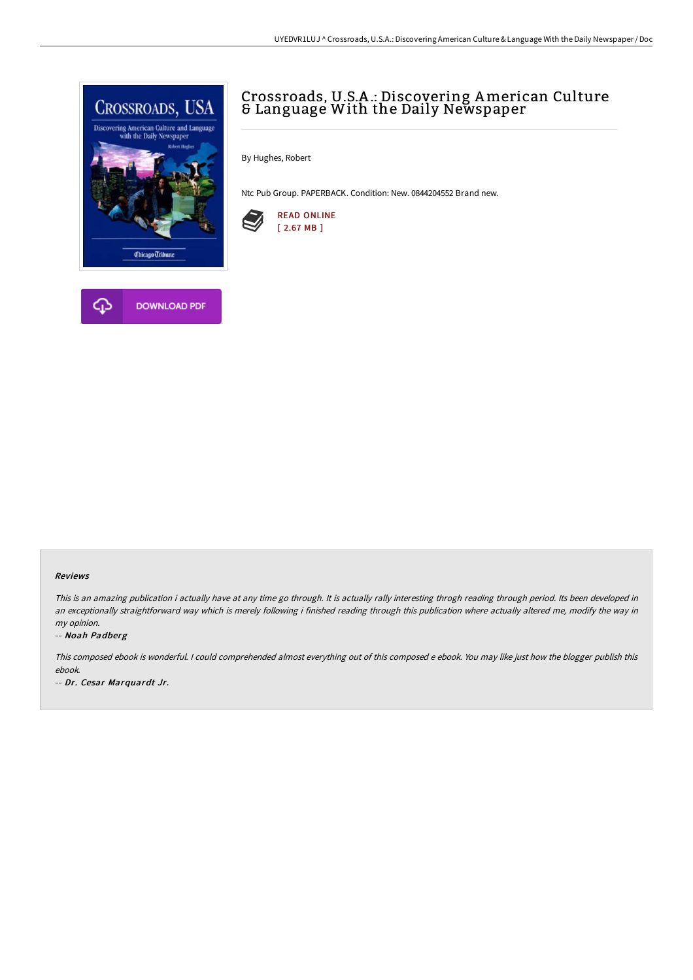

# Crossroads, U.S.A .: Discovering American Culture & Language With the Daily Newspaper

By Hughes, Robert

Ntc Pub Group. PAPERBACK. Condition: New. 0844204552 Brand new.



### Reviews

This is an amazing publication i actually have at any time go through. It is actually rally interesting throgh reading through period. Its been developed in an exceptionally straightforward way which is merely following i finished reading through this publication where actually altered me, modify the way in my opinion.

#### -- Noah Padberg

This composed ebook is wonderful. <sup>I</sup> could comprehended almost everything out of this composed <sup>e</sup> ebook. You may like just how the blogger publish this ebook.

-- Dr. Cesar Marquardt Jr.